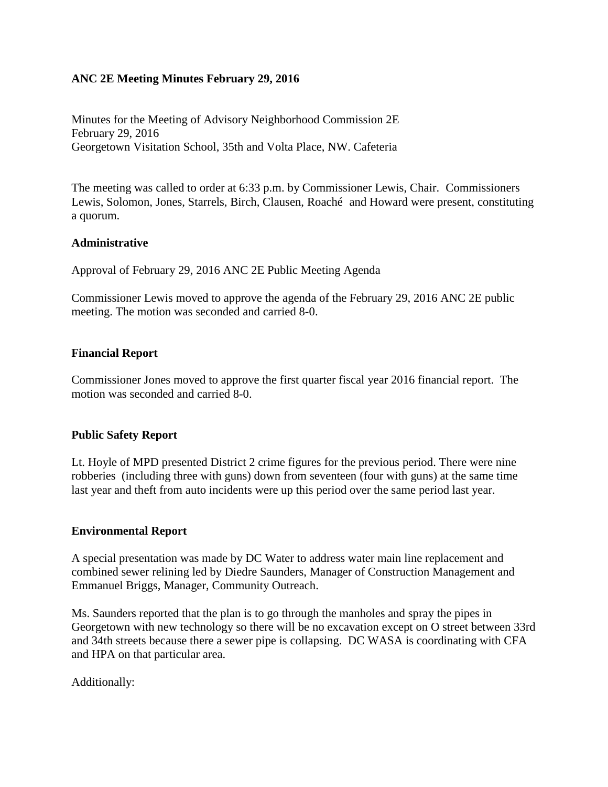### **ANC 2E Meeting Minutes February 29, 2016**

Minutes for the Meeting of Advisory Neighborhood Commission 2E February 29, 2016 Georgetown Visitation School, 35th and Volta Place, NW. Cafeteria

The meeting was called to order at 6:33 p.m. by Commissioner Lewis, Chair. Commissioners Lewis, Solomon, Jones, Starrels, Birch, Clausen, Roaché and Howard were present, constituting a quorum.

### **Administrative**

Approval of February 29, 2016 ANC 2E Public Meeting Agenda

Commissioner Lewis moved to approve the agenda of the February 29, 2016 ANC 2E public meeting. The motion was seconded and carried 8-0.

### **Financial Report**

Commissioner Jones moved to approve the first quarter fiscal year 2016 financial report. The motion was seconded and carried 8-0.

### **Public Safety Report**

Lt. Hoyle of MPD presented District 2 crime figures for the previous period. There were nine robberies (including three with guns) down from seventeen (four with guns) at the same time last year and theft from auto incidents were up this period over the same period last year.

### **Environmental Report**

A special presentation was made by DC Water to address water main line replacement and combined sewer relining led by Diedre Saunders, Manager of Construction Management and Emmanuel Briggs, Manager, Community Outreach.

Ms. Saunders reported that the plan is to go through the manholes and spray the pipes in Georgetown with new technology so there will be no excavation except on O street between 33rd and 34th streets because there a sewer pipe is collapsing. DC WASA is coordinating with CFA and HPA on that particular area.

Additionally: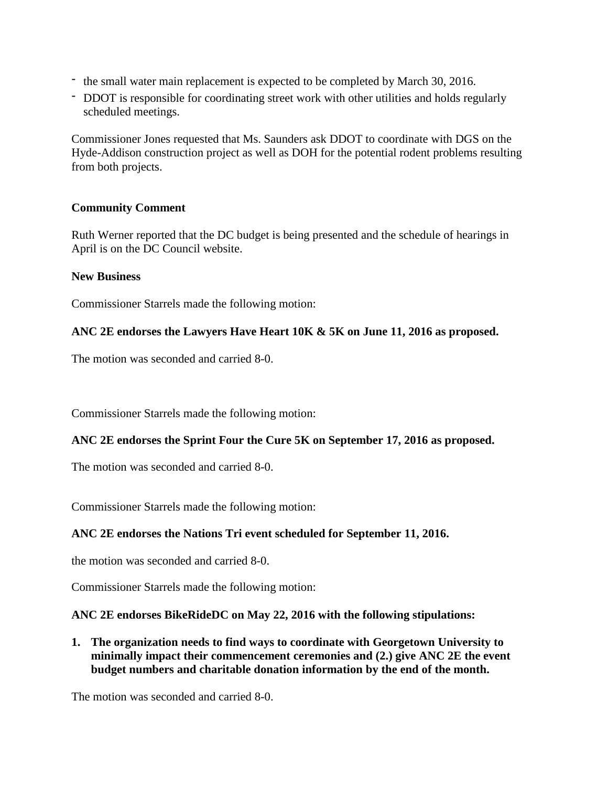- the small water main replacement is expected to be completed by March 30, 2016.
- DDOT is responsible for coordinating street work with other utilities and holds regularly scheduled meetings.

Commissioner Jones requested that Ms. Saunders ask DDOT to coordinate with DGS on the Hyde-Addison construction project as well as DOH for the potential rodent problems resulting from both projects.

### **Community Comment**

Ruth Werner reported that the DC budget is being presented and the schedule of hearings in April is on the DC Council website.

### **New Business**

Commissioner Starrels made the following motion:

# **ANC 2E endorses the Lawyers Have Heart 10K & 5K on June 11, 2016 as proposed.**

The motion was seconded and carried 8-0.

Commissioner Starrels made the following motion:

# **ANC 2E endorses the Sprint Four the Cure 5K on September 17, 2016 as proposed.**

The motion was seconded and carried 8-0.

Commissioner Starrels made the following motion:

# **ANC 2E endorses the Nations Tri event scheduled for September 11, 2016.**

the motion was seconded and carried 8-0.

Commissioner Starrels made the following motion:

### **ANC 2E endorses BikeRideDC on May 22, 2016 with the following stipulations:**

**1. The organization needs to find ways to coordinate with Georgetown University to minimally impact their commencement ceremonies and (2.) give ANC 2E the event budget numbers and charitable donation information by the end of the month.**

The motion was seconded and carried 8-0.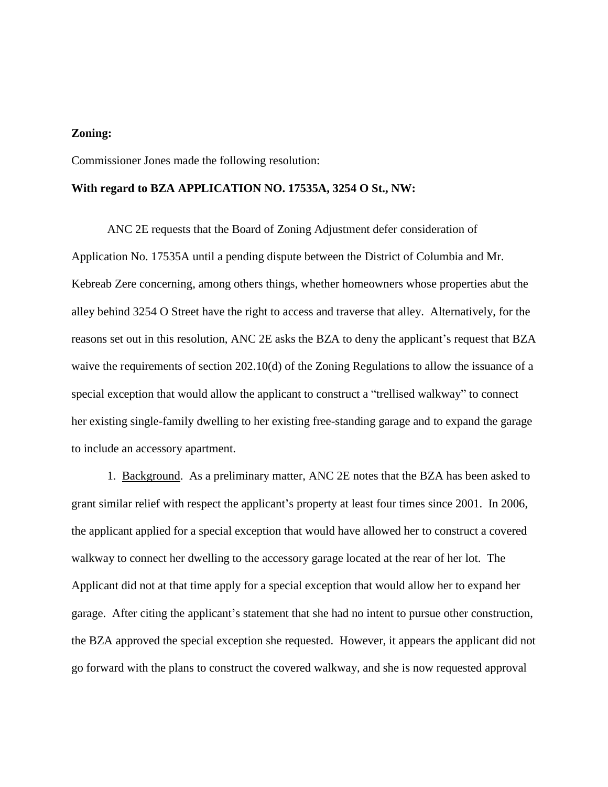#### **Zoning:**

Commissioner Jones made the following resolution:

#### **With regard to BZA APPLICATION NO. 17535A, 3254 O St., NW:**

ANC 2E requests that the Board of Zoning Adjustment defer consideration of Application No. 17535A until a pending dispute between the District of Columbia and Mr. Kebreab Zere concerning, among others things, whether homeowners whose properties abut the alley behind 3254 O Street have the right to access and traverse that alley. Alternatively, for the reasons set out in this resolution, ANC 2E asks the BZA to deny the applicant's request that BZA waive the requirements of section 202.10(d) of the Zoning Regulations to allow the issuance of a special exception that would allow the applicant to construct a "trellised walkway" to connect her existing single-family dwelling to her existing free-standing garage and to expand the garage to include an accessory apartment.

1. Background. As a preliminary matter, ANC 2E notes that the BZA has been asked to grant similar relief with respect the applicant's property at least four times since 2001. In 2006, the applicant applied for a special exception that would have allowed her to construct a covered walkway to connect her dwelling to the accessory garage located at the rear of her lot. The Applicant did not at that time apply for a special exception that would allow her to expand her garage. After citing the applicant's statement that she had no intent to pursue other construction, the BZA approved the special exception she requested. However, it appears the applicant did not go forward with the plans to construct the covered walkway, and she is now requested approval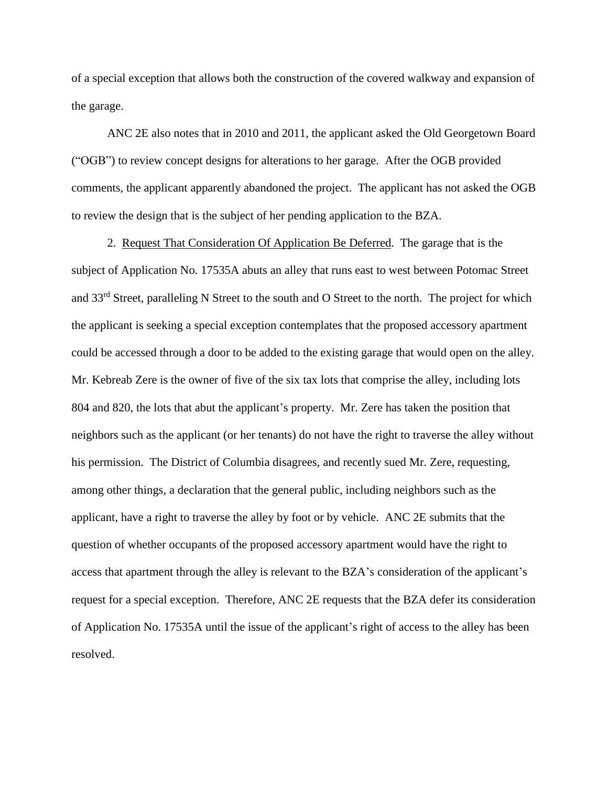of a special exception that allows both the construction of the covered walkway and expansion of the garage.

ANC 2E also notes that in 2010 and 2011, the applicant asked the Old Georgetown Board ("OGB") to review concept designs for alterations to her garage. After the OGB provided comments, the applicant apparently abandoned the project. The applicant has not asked the OGB to review the design that is the subject of her pending application to the BZA.

2. Request That Consideration Of Application Be Deferred. The garage that is the subject of Application No. 17535A abuts an alley that runs east to west between Potomac Street and 33rd Street, paralleling N Street to the south and O Street to the north. The project for which the applicant is seeking a special exception contemplates that the proposed accessory apartment could be accessed through a door to be added to the existing garage that would open on the alley. Mr. Kebreab Zere is the owner of five of the six tax lots that comprise the alley, including lots 804 and 820, the lots that abut the applicant's property. Mr. Zere has taken the position that neighbors such as the applicant (or her tenants) do not have the right to traverse the alley without his permission. The District of Columbia disagrees, and recently sued Mr. Zere, requesting, among other things, a declaration that the general public, including neighbors such as the applicant, have a right to traverse the alley by foot or by vehicle. ANC 2E submits that the question of whether occupants of the proposed accessory apartment would have the right to access that apartment through the alley is relevant to the BZA's consideration of the applicant's request for a special exception. Therefore, ANC 2E requests that the BZA defer its consideration of Application No. 17535A until the issue of the applicant's right of access to the alley has been resolved.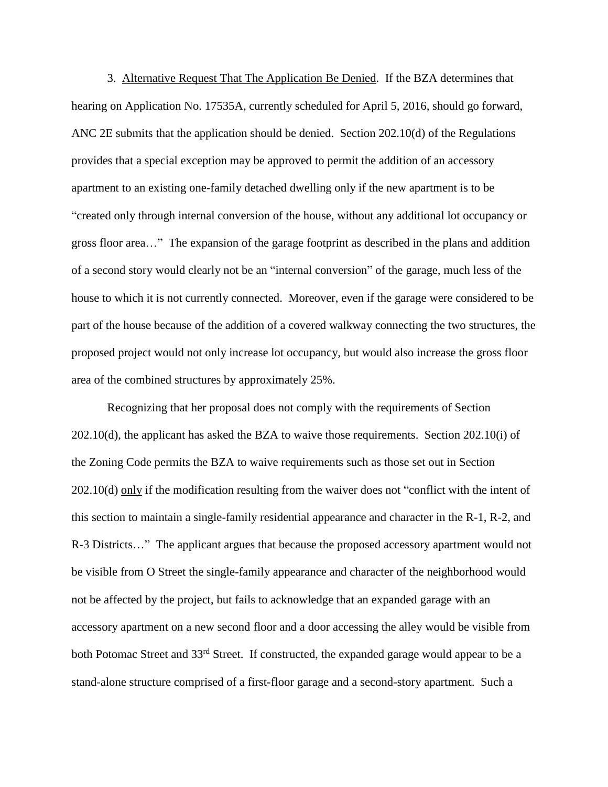3. Alternative Request That The Application Be Denied. If the BZA determines that hearing on Application No. 17535A, currently scheduled for April 5, 2016, should go forward, ANC 2E submits that the application should be denied. Section 202.10(d) of the Regulations provides that a special exception may be approved to permit the addition of an accessory apartment to an existing one-family detached dwelling only if the new apartment is to be "created only through internal conversion of the house, without any additional lot occupancy or gross floor area…" The expansion of the garage footprint as described in the plans and addition of a second story would clearly not be an "internal conversion" of the garage, much less of the house to which it is not currently connected. Moreover, even if the garage were considered to be part of the house because of the addition of a covered walkway connecting the two structures, the proposed project would not only increase lot occupancy, but would also increase the gross floor area of the combined structures by approximately 25%.

Recognizing that her proposal does not comply with the requirements of Section 202.10(d), the applicant has asked the BZA to waive those requirements. Section 202.10(i) of the Zoning Code permits the BZA to waive requirements such as those set out in Section 202.10(d) only if the modification resulting from the waiver does not "conflict with the intent of this section to maintain a single-family residential appearance and character in the R-1, R-2, and R-3 Districts…" The applicant argues that because the proposed accessory apartment would not be visible from O Street the single-family appearance and character of the neighborhood would not be affected by the project, but fails to acknowledge that an expanded garage with an accessory apartment on a new second floor and a door accessing the alley would be visible from both Potomac Street and 33<sup>rd</sup> Street. If constructed, the expanded garage would appear to be a stand-alone structure comprised of a first-floor garage and a second-story apartment. Such a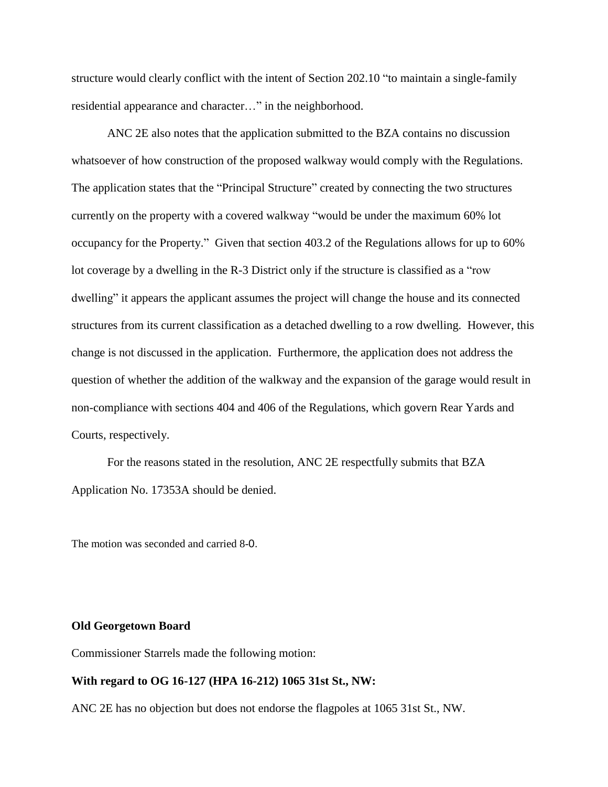structure would clearly conflict with the intent of Section 202.10 "to maintain a single-family residential appearance and character…" in the neighborhood.

ANC 2E also notes that the application submitted to the BZA contains no discussion whatsoever of how construction of the proposed walkway would comply with the Regulations. The application states that the "Principal Structure" created by connecting the two structures currently on the property with a covered walkway "would be under the maximum 60% lot occupancy for the Property." Given that section 403.2 of the Regulations allows for up to 60% lot coverage by a dwelling in the R-3 District only if the structure is classified as a "row dwelling" it appears the applicant assumes the project will change the house and its connected structures from its current classification as a detached dwelling to a row dwelling. However, this change is not discussed in the application. Furthermore, the application does not address the question of whether the addition of the walkway and the expansion of the garage would result in non-compliance with sections 404 and 406 of the Regulations, which govern Rear Yards and Courts, respectively.

For the reasons stated in the resolution, ANC 2E respectfully submits that BZA Application No. 17353A should be denied.

The motion was seconded and carried 8-0.

#### **Old Georgetown Board**

Commissioner Starrels made the following motion:

#### **With regard to OG 16-127 (HPA 16-212) 1065 31st St., NW:**

ANC 2E has no objection but does not endorse the flagpoles at 1065 31st St., NW.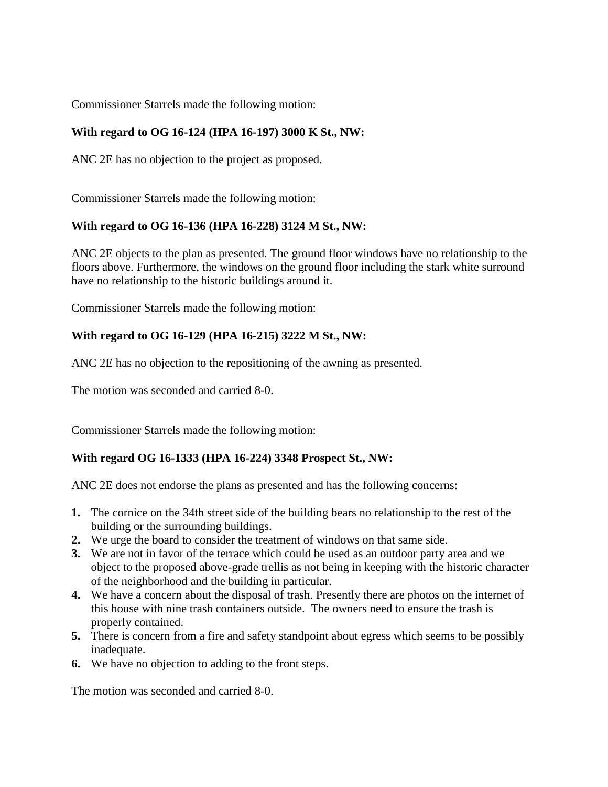Commissioner Starrels made the following motion:

# **With regard to OG 16-124 (HPA 16-197) 3000 K St., NW:**

ANC 2E has no objection to the project as proposed.

Commissioner Starrels made the following motion:

# **With regard to OG 16-136 (HPA 16-228) 3124 M St., NW:**

ANC 2E objects to the plan as presented. The ground floor windows have no relationship to the floors above. Furthermore, the windows on the ground floor including the stark white surround have no relationship to the historic buildings around it.

Commissioner Starrels made the following motion:

# **With regard to OG 16-129 (HPA 16-215) 3222 M St., NW:**

ANC 2E has no objection to the repositioning of the awning as presented.

The motion was seconded and carried 8-0.

Commissioner Starrels made the following motion:

# **With regard OG 16-1333 (HPA 16-224) 3348 Prospect St., NW:**

ANC 2E does not endorse the plans as presented and has the following concerns:

- **1.** The cornice on the 34th street side of the building bears no relationship to the rest of the building or the surrounding buildings.
- **2.** We urge the board to consider the treatment of windows on that same side.
- **3.** We are not in favor of the terrace which could be used as an outdoor party area and we object to the proposed above-grade trellis as not being in keeping with the historic character of the neighborhood and the building in particular.
- **4.** We have a concern about the disposal of trash. Presently there are photos on the internet of this house with nine trash containers outside. The owners need to ensure the trash is properly contained.
- **5.** There is concern from a fire and safety standpoint about egress which seems to be possibly inadequate.
- **6.** We have no objection to adding to the front steps.

The motion was seconded and carried 8-0.